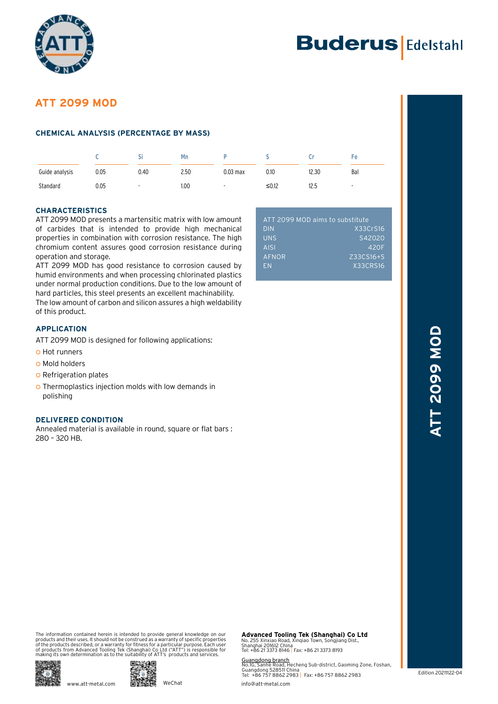



# **ATT 2099 MOD**

# **CHEMICAL ANALYSIS (PERCENTAGE BY MASS)**

|                |      | ы    | Mn   |            |       |       | Fе     |
|----------------|------|------|------|------------|-------|-------|--------|
| Guide analysis | 0.05 | 0.40 | 2.50 | $0.03$ max | 0.10  | 12.30 | Bal    |
| Standard       | 0.05 |      | 1.00 |            | ≤0.12 | 12.5  | $\sim$ |

# **CHARACTERISTICS**

ATT 2099 MOD presents a martensitic matrix with low amount of carbides that is intended to provide high mechanical properties in combination with corrosion resistance. The high chromium content assures good corrosion resistance during operation and storage.

ATT 2099 MOD has good resistance to corrosion caused by humid environments and when processing chlorinated plastics under normal production conditions. Due to the low amount of hard particles, this steel presents an excellent machinability. The low amount of carbon and silicon assures a high weldability of this product.

**APPLICATION**

ATT 2099 MOD is designed for following applications:

- o Hot runners
- **O** Mold holders
- | Refrigeration plates
- o Thermoplastics injection molds with low demands in polishing

# **DELIVERED CONDITION**

Annealed material is available in round, square or flat bars : 280 – 320 HB.

| ATT 2099 MOD aims to substitute |                 |  |  |  |
|---------------------------------|-----------------|--|--|--|
| <b>DIN</b>                      | X33CrS16        |  |  |  |
| <b>UNS</b>                      | S42020          |  |  |  |
| <b>AISI</b>                     | 420F            |  |  |  |
| AFNOR                           | Z33CS16+S       |  |  |  |
| <b>FN</b>                       | <b>X33CRS16</b> |  |  |  |
|                                 |                 |  |  |  |

# **Edition 20211122-04 ATT 2009 MOD ATT 2099 MOD**

The information contained herein is intended to provide general knowledge on our products and their uses. It should not be construed as a warranty of specific properties<br>of the products described, or a warranty for fitness for a particular purpose. Each user<br>of products from Advanced Tooling Tek (Shang



**Advanced Tooling Tek (Shanghai) Co Ltd**<br>No. 255 Xinxiao Road, Xinqiao Town, Songjiang Dist.,<br>Shanghai 201612 China<br>Tel: +86 21 3373 8146 | Fax: +86 21 3373 8193

Guangdong branch No.1G, Sanhe Road, Hecheng Sub-district, Gaoming Zone, Foshan, Guangdong 528511 China Tel: +86 757 8862 2983 | Fax: +86 757 8862 2983